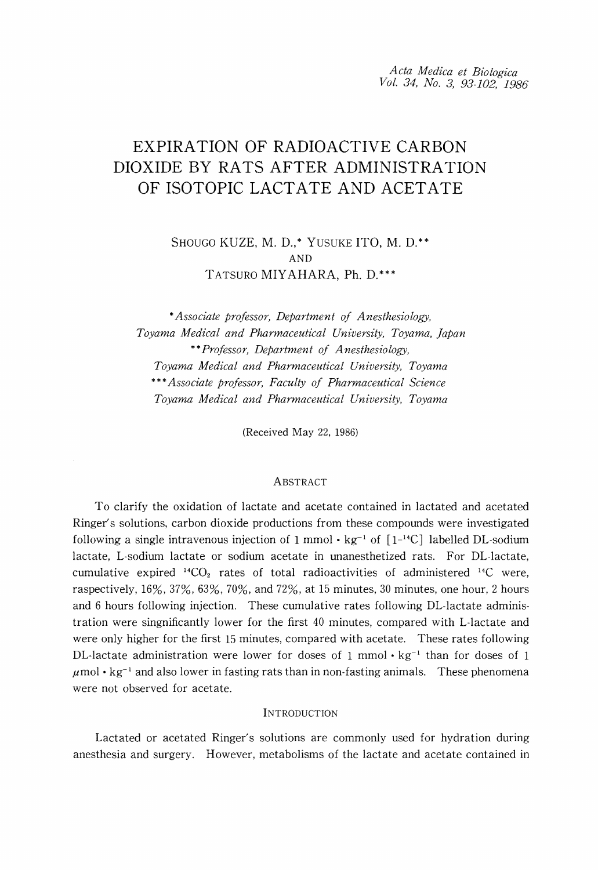*Acta Medica et Biologica Vol.* 34, *No.3, 93-102, 1986*

# EXPIRATION OF RADIOACTIVE CARBON DIOXIDE BY RATS AFTER ADMINISTRATION OF ISOTOPIC LACTATE AND ACETATE

SHOUGO KUZE, M. D.,\* YUSUKE ITO, M. D.\*\* AND TATSURO MIYAHARA, Ph. D.\*\*\*

\**Associate professor, Department of Anesthesiology, Toyama Medical and Pharmaceutical University, Toyama, Japan* \*\**Professor, Department of Anesthesiology, Toyama Medical and Pharmaceutical University, Toyama* \*\*\**Associate professor, Faculty of Pharmaceutical Science Toyama Medical and Pharmaceutical University, Toyama*

(Received May 22, 1986)

## ABSTRACT

To clarify the oxidation of lactate and acetate contained in lactated and acetated Ringer's solutions, carbon dioxide productions from these compounds were investigated following a single intravenous injection of 1 mmol  $\cdot$  kg<sup>-1</sup> of  $\lceil 1^{-1}C \rceil$  labelled DL-sodium lactate, L-sodium lactate or sodium acetate in unanesthetized rats. For DL-lactate, cumulative expired  $^{14}CO<sub>2</sub>$  rates of total radioactivities of administered  $^{14}C$  were, raspectively, 16%, 37%, 63%, 70%, and 72%, at 15 minutes, 30 minutes, one hour, 2 hours and 6 hours following injection. These cumulative rates following DL-lactate administration were singnificantly lower for the first 40 minutes, compared with L-lactate and were only higher for the first 15 minutes, compared with acetate. These rates following DL-lactate administration were lower for doses of 1 mmol  $\cdot$  kg<sup>-1</sup> than for doses of 1  $\mu$ mol· kg<sup>-1</sup> and also lower in fasting rats than in non-fasting animals. These phenomena were not observed for acetate.

### **INTRODUCTION**

Lactated or acetated Ringer's solutions are commonly used for hydration during anesthesia and surgery. However, metabolisms of the lactate and acetate contained in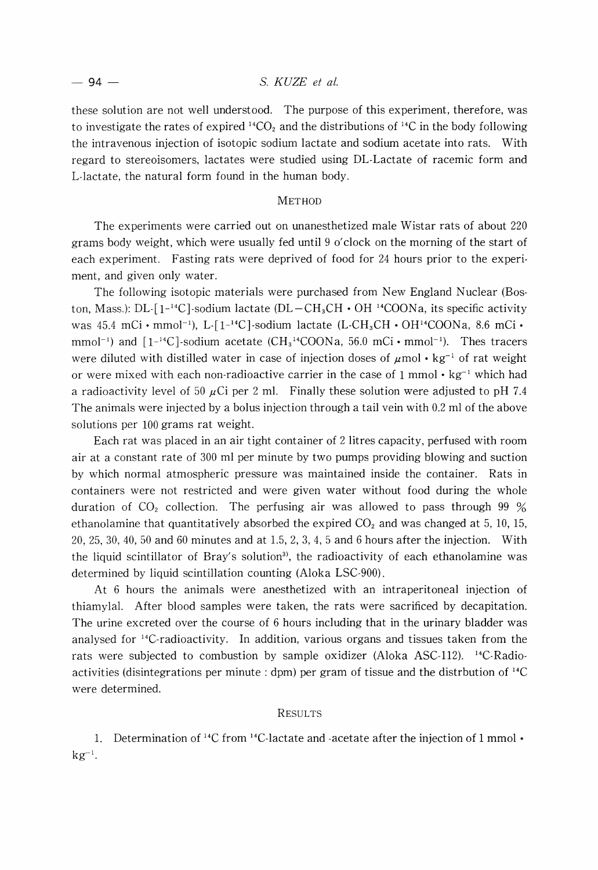## 94 - S. *KUZE et* at.

these solution are not well understood. The purpose of this experiment, therefore, was to investigate the rates of expired  $^{14}CO_2$  and the distributions of  $^{14}C$  in the body following the intravenous injection of isotopic sodium lactate and sodium acetate into rats. With regard to stereoisomers, lactates were studied using DL-Lactate of racemic form and L-lactate, the natural form found in the human body.

## **METHOD**

The experiments were carried out on unanesthetized male Wistar rats of about 220 grams body weight, which were usually fed until 9 o'clock on the morning of the start of each experiment. Fasting rats were deprived of food for 24 hours prior to the experiment, and given only water.

The following isotopic materials were purchased from New England Nuclear (Boston, Mass.): DL- $[1^{-14}C]$ -sodium lactate (DL-CH<sub>3</sub>CH  $\cdot$  OH <sup>14</sup>COONa, its specific activity was  $45.4 \, \text{mCi} \cdot \text{mmol}^{-1}$ ), L- $[1^{-14}C]$ -sodium lactate (L-CH<sub>3</sub>CH  $\cdot$  OH<sup>14</sup>COONa, 8.6 mCi  $\cdot$  $mmol^{-1}$ ) and  $[1^{-14}C]$ -sodium acetate (CH $_3$ <sup>14</sup>COONa, 56.0 mCi•mmol<sup>-1</sup>). Thes tracers were diluted with distilled water in case of injection doses of  $\mu$ mol • kg<sup>-1</sup> of rat weight or were mixed with each non-radioactive carrier in the case of 1 mmol  $\cdot$  kg<sup>-1</sup> which had a radioactivity level of 50  $\mu$ Ci per 2 ml. Finally these solution were adjusted to pH 7.4 The animals were injected by a bolus injection through a tail vein with 0.2 ml of the above solutions per 100 grams rat weight.

Each rat was placed in an air tight container of 2 litres capacity, perfused with room air at a constant rate of 300 ml per minute by two pumps providing blowing and suction by which normal atmospheric pressure was maintained inside the container. Rats in containers were not restricted and were given water without food during the whole duration of  $CO<sub>2</sub>$  collection. The perfusing air was allowed to pass through 99 % ethanolamine that quantitatively absorbed the expired  $CO<sub>2</sub>$  and was changed at 5, 10, 15, 20, 25, 30, 40, 50 and 60 minutes and at 1.5, 2, 3, 4, 5 and 6 hours after the injection. With the liquid scintillator of Bray's solution<sup>3</sup>, the radioactivity of each ethanolamine was determined by liquid scintillation counting (Aloka LSC-900).

At 6 hours the animals were anesthetized with an intraperitoneal injection of thiamylal. After blood samples were taken, the rats were sacrificed by decapitation. The urine excreted over the course of 6 hours including that in the urinary bladder was analysed for 14C-radioactivity. In addition, various organs and tissues taken from the rats were subjected to combustion by sample oxidizer (Aloka ASC-112). <sup>14</sup>C-Radioactivities (disintegrations per minute: dpm) per gram of tissue and the distrbution of  $^{14}C$ were determined.

### RESULTS

1. Determination of <sup>14</sup>C from <sup>14</sup>C-lactate and -acetate after the injection of 1 mmol  $\cdot$  $kg^{-1}$ .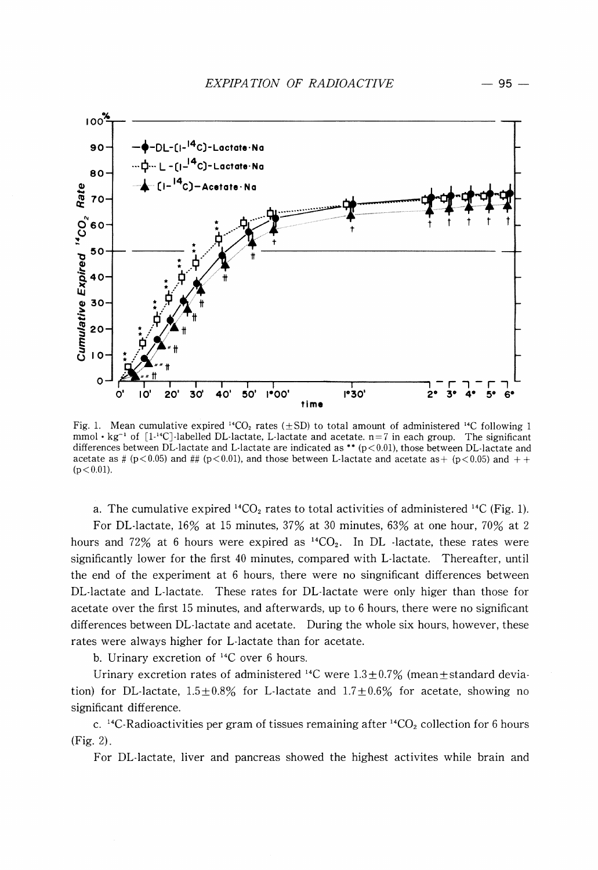

Fig. 1. Mean cumulative expired <sup>14</sup>CO<sub>2</sub> rates ( $\pm$ SD) to total amount of administered <sup>14</sup>C following 1 mmol •  $kg^{-1}$  of [1<sup>-14</sup>C]-labelled DL-lactate, L-lactate and acetate. n=7 in each group. The significant differences between DL-lactate and L-lactate are indicated as \*\* ( $p < 0.01$ ), those between DL-lactate and acetate as #  $(p<0.05)$  and ##  $(p<0.01)$ , and those between L-lactate and acetate as +  $(p<0.05)$  and + +  $(p < 0.01)$ .

a. The cumulative expired  $^{14}CO_2$  rates to total activities of administered  $^{14}C$  (Fig. 1).

For DL-Iactate, 16% at 15 minutes, 37% at 30 minutes, 63% at one hour, 70% at 2 hours and 72% at 6 hours were expired as  ${}^{14}CO_2$ . In DL -lactate, these rates were significantly lower for the first 40 minutes, compared with L-Iactate. Thereafter, until the end of the experiment at 6 hours, there were no singnificant differences between DL-Iactate and L-Iactate. These rates for DL-Iactate were only higer than those for acetate over the first 15 minutes, and afterwards, up to 6 hours, there were no significant differences between DL-Iactate and acetate. During the whole six hours, however, these rates were always higher for L-Iactate than for acetate.

b. Urinary excretion of 14C over 6 hours.

Urinary excretion rates of administered <sup>14</sup>C were  $1.3 \pm 0.7\%$  (mean $\pm$ standard deviation) for DL-lactate,  $1.5\pm0.8\%$  for L-lactate and  $1.7\pm0.6\%$  for acetate, showing no significant difference.

c. <sup>14</sup>C-Radioactivities per gram of tissues remaining after <sup>14</sup>CO<sub>2</sub> collection for 6 hours (Fig. 2).

For DL-Iactate, liver and pancreas showed the highest activites while brain and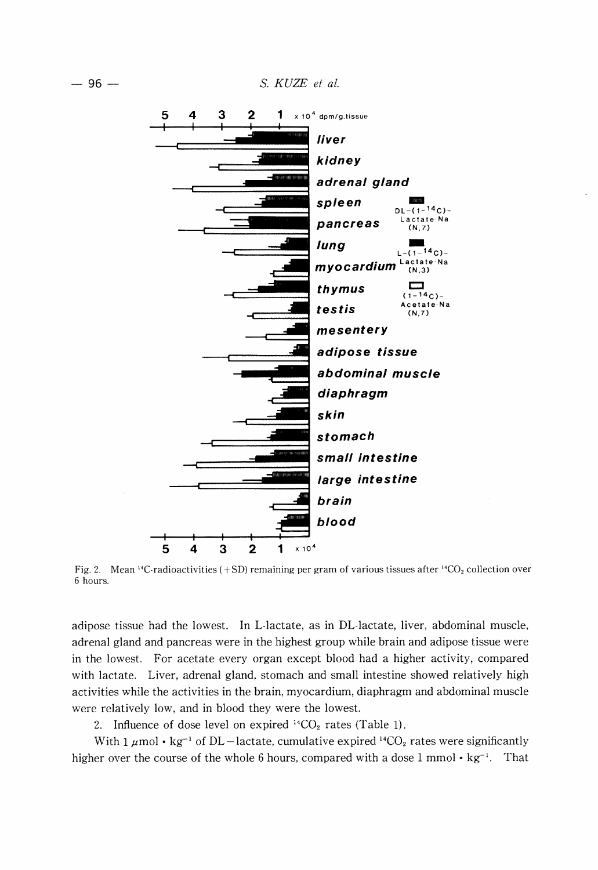96 - S. *KUZE et at.*



Fig. 2. Mean <sup>14</sup>C-radioactivities  $(+SD)$  remaining per gram of various tissues after <sup>14</sup>CO<sub>2</sub> collection over 6 hours.

adipose tissue had the lowest. In L-Iactate, as in DL-Iactate, liver, abdominal muscle, adrenal gland and pancreas were in the highest group while brain and adipose tissue were in the lowest. For acetate every organ except blood had a higher activity, compared with lactate. Liver, adrenal gland, stomach and small intestine showed relatively high activities while the activities in the brain, myocardium, diaphragm and abdominal muscle were relatively low, and in blood they were the lowest.

2. Influence of dose level on expired  $^{14}CO_2$  rates (Table 1).

With 1  $\mu$ mol • kg<sup>-1</sup> of DL -lactate, cumulative expired <sup>14</sup>CO<sub>2</sub> rates were significantly higher over the course of the whole 6 hours, compared with a dose 1 mmol  $\cdot$  kg<sup>-1</sup>. That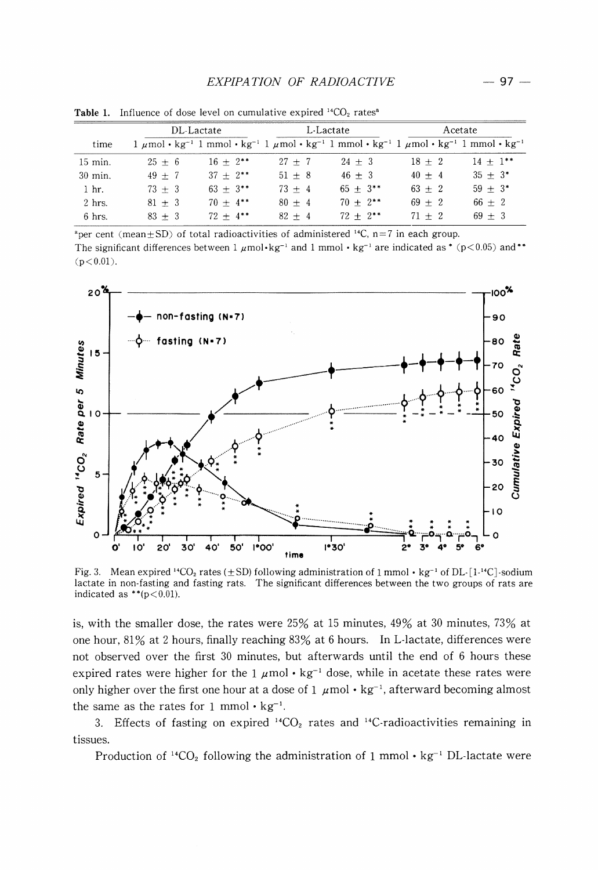## *EXPIPATION OF RADIOACTIVE* - 97

|                 | DL-Lactate |                                                                                                                                                                            | L-Lactate |               | Acetate  |            |
|-----------------|------------|----------------------------------------------------------------------------------------------------------------------------------------------------------------------------|-----------|---------------|----------|------------|
| time            |            | $1 \mu$ mol · kg <sup>-1</sup> 1 mmol · kg <sup>-1</sup> 1 $\mu$ mol · kg <sup>-1</sup> 1 mmol · kg <sup>-1</sup> 1 $\mu$ mol · kg <sup>-1</sup> 1 mmol · kg <sup>-1</sup> |           |               |          |            |
| 15 min.         | $25 + 6$   | $16 + 2^{**}$                                                                                                                                                              | $27 + 7$  | $24 + 3$      | $18 + 2$ | $14 + 1**$ |
| $30$ min.       | $49 + 7$   | $37 + 2$ **                                                                                                                                                                | $51 + 8$  | $46 + 3$      | $40 + 4$ | $35 + 3*$  |
| 1 <sub>hr</sub> | $73 + 3$   | $63 + 3**$                                                                                                                                                                 | $73 + 4$  | $65 + 3**$    | $63 + 2$ | $59 + 3*$  |
| $2$ hrs.        | $81 + 3$   | $70 + 4$ **                                                                                                                                                                | $80 + 4$  | $70 + 2^{**}$ | $69 + 2$ | $66 + 2$   |
| $6$ hrs.        | $83 + 3$   | $72 + 4$ **                                                                                                                                                                | $82 + 4$  | $72 + 2$ **   | $71 + 2$ | $69 + 3$   |

**Table 1.** Influence of dose level on cumulative expired  $^{14}CO_2$  rates<sup>a</sup>

<sup>a</sup>per cent (mean $\pm$ SD) of total radioactivities of administered <sup>14</sup>C, n=7 in each group. The significant differences between  $1 \mu \text{mol} \cdot \text{kg}^{-1}$  and  $1 \text{mmol} \cdot \text{kg}^{-1}$  are indicated as \* (p<0.05) and\*\*  $(p < 0.01)$ .



Fig. 3. Mean expired <sup>14</sup>CO<sub>2</sub> rates ( $\pm$ SD) following administration of 1 mmol • kg<sup>-1</sup> of DL· [1<sup>-14</sup>C]-sodium lactate in non-fasting and fasting rats. The significant differences between the two groups of rats are indicated as  $**(p<0.01)$ .

is, with the smaller dose, the rates were 25% at 15 minutes, 49% at 30 minutes, 73% at one hour, 81% at 2 hours, finally reaching 83% at 6 hours. In L-lactate, differences were not observed over the first 30 minutes, but afterwards until the end of 6 hours these expired rates were higher for the 1  $\mu$ mol • kg<sup>-1</sup> dose, while in acetate these rates were only higher over the first one hour at a dose of  $1 \mu \text{mol} \cdot \text{kg}^{-1}$ , afterward becoming almost the same as the rates for 1 mmol  $\cdot$  kg<sup>-1</sup>.

3. Effects of fasting on expired <sup>14</sup>CO<sub>2</sub> rates and <sup>14</sup>C-radioactivities remaining in tissues.

Production of <sup>14</sup>CO<sub>2</sub> following the administration of 1 mmol  $\cdot$  kg<sup>-1</sup> DL-lactate were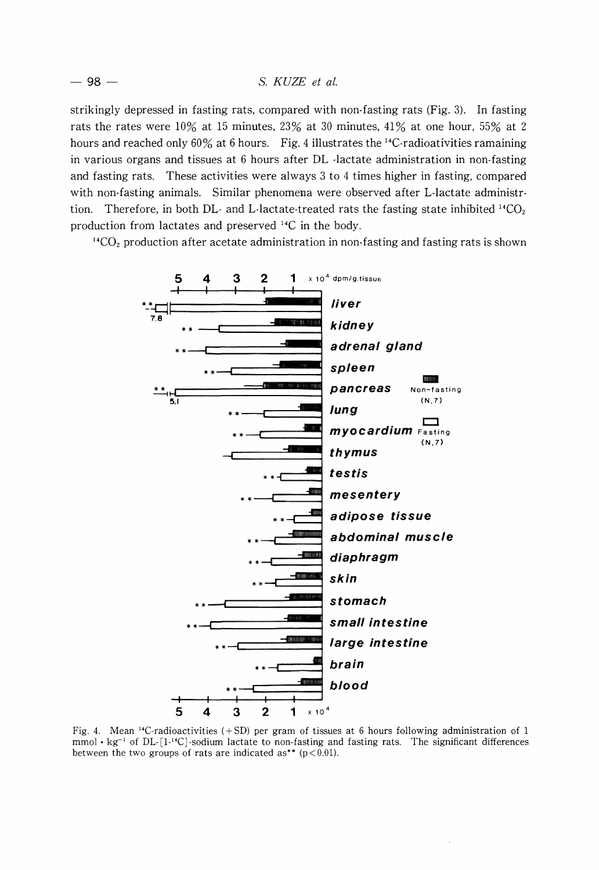strikingly depressed in fasting rats, compared with non-fasting rats (Fig. 3). In fasting rats the rates were 10% at 15 minutes, 23% at 30 minutes, 41% at one hour, 55% at 2 hours and reached only 60% at 6 hours. Fig. 4 illustrates the <sup>14</sup>C-radioativities ramaining in various organs and tissues at 6 hours after DL -lactate administration in non-fasting and fasting rats. These activities were always 3 to 4 times higher in fasting, compared with non-fasting animals. Similar phenomena were observed after L-lactate administrtion. Therefore, in both DL- and L-lactate-treated rats the fasting state inhibited <sup>14</sup>CO<sub>2</sub> production from lactates and preserved 14C in the body.

<sup>14</sup>CO<sub>2</sub> production after acetate administration in non-fasting and fasting rats is shown



Fig. 4. Mean <sup>14</sup>C-radioactivities (+SD) per gram of tissues at 6 hours following administration of 1  $mmol· kg<sup>-1</sup>$  of DL- $[1<sup>14</sup>C]$ -sodium lactate to non-fasting and fasting rats. The significant differences between the two groups of rats are indicated as\*\* ( $p < 0.01$ ).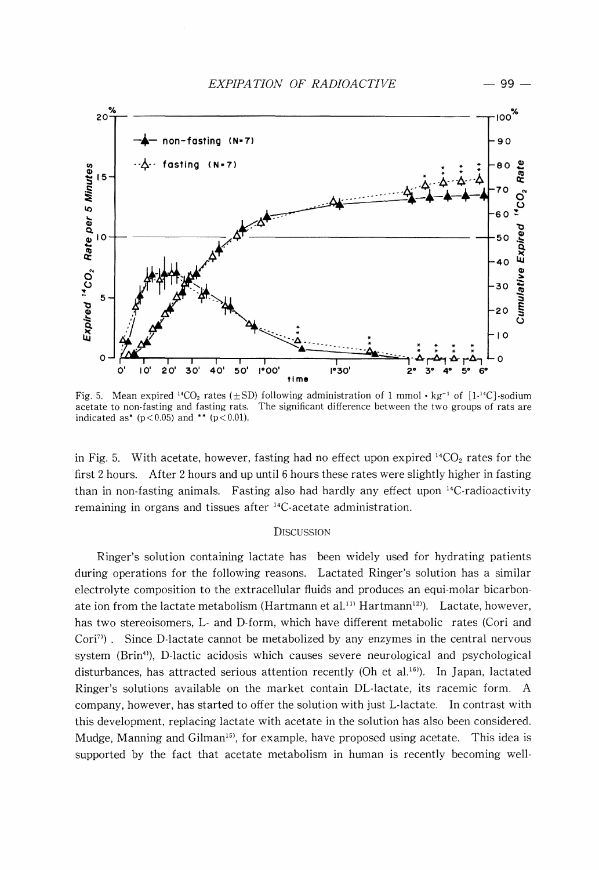

Fig. 5. Mean expired <sup>14</sup>CO<sub>2</sub> rates ( $\pm$ SD) following administration of 1 mmol • kg<sup>-1</sup> of [1<sup>14</sup>C]·sodium acetate to non-fasting and fasting rats. The significant difference between the two groups of rats are indicated as\*  $(p < 0.05)$  and \*\*  $(p < 0.01)$ .

in Fig. 5. With acetate, however, fasting had no effect upon expired  $^{14}CO_2$  rates for the first 2 hours. After 2 hours and up until 6 hours these rates were slightly higher in fasting than in non-fasting animals. Fasting also had hardly any effect upon 14C-radioactivity remaining in organs and tissues after 14C-acetate administration.

## **DISCUSSION**

Ringer's solution containing lactate has been widely used for hydrating patients during operations for the following reasons. Lactated Ringer's solution has a similar electrolyte composition to the extracellular fluids and produces an equi-molar bicarbonate ion from the lactate metabolism (Hartmann et al.<sup>11)</sup> Hartmann<sup>12)</sup>. Lactate, however, has two stereoisomers, L- and D-form, which have different metabolic rates (Cori and Cori<sup>7)</sup>. Since D-lactate cannot be metabolized by any enzymes in the central nervous system (Brin<sup>4)</sup>), D-lactic acidosis which causes severe neurological and psychological disturbances, has attracted serious attention recently (Oh et al.<sup>16)</sup>. In Japan, lactated Ringer's solutions available on the market contain DL-Iactate, its racemic form. A company, however, has started to offer the solution with just L-Iactate. In contrast with this development, replacing lactate with acetate in the solution has also been considered. Mudge, Manning and Gilman<sup>15</sup>, for example, have proposed using acetate. This idea is supported by the fact that acetate metabolism in human is recently becoming well-

- 99-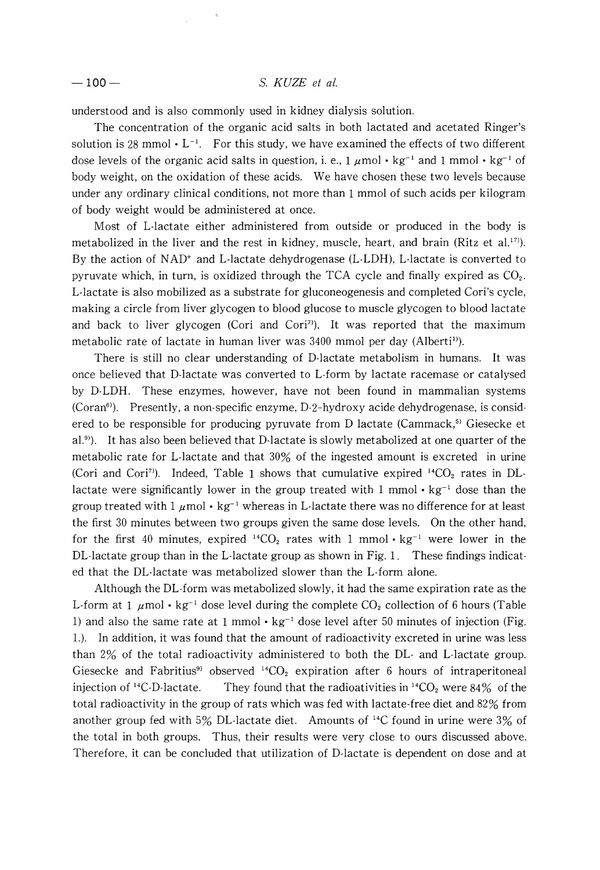## -100- S. *KUZE et* at.

understood and is also commonly used in kidney dialysis solution.

The concentration of the organic acid salts in both lactated and acetated Ringer's solution is 28 mmol  $\cdot$  L<sup>-1</sup>. For this study, we have examined the effects of two different dose levels of the organic acid salts in question, i. e.,  $1 \mu \text{mol} \cdot \text{kg}^{-1}$  and  $1 \text{mmol} \cdot \text{kg}^{-1}$  of body weight, on the oxidation of these acids. We have chosen these two levels because under any ordinary clinical conditions, not more than 1 mmol of such acids per kilogram of body weight would be administered at once.

Most of L-Iactate either administered from outside or produced in the body is metabolized in the liver and the rest in kidney, muscle, heart, and brain (Ritz et al.<sup>17)</sup>). By the action of  $NAD^+$  and L-lactate dehydrogenase (L-LDH), L-lactate is converted to pyruvate which, in turn, is oxidized through the TCA cycle and finally expired as  $CO<sub>2</sub>$ . L-Iactate is also mobilized as a substrate for gluconeogenesis and completed Cori's cycle, making a circle from liver glycogen to blood glucose to muscle glycogen to blood lactate and back to liver glycogen (Cori and Cori<sup>7)</sup>). It was reported that the maximum metabolic rate of lactate in human liver was 3400 mmol per day (Alberti<sup>1)</sup>).

There is still no clear understanding of D-Iactate metabolism in humans. It was once believed that D-Iactate was converted to L-form by lactate racemase or catalysed by D-LDH. These enzymes, however, have not been found in mammalian systems  $(Coran<sup>6</sup>)$ . Presently, a non-specific enzyme, D-2-hydroxy acide dehydrogenase, is considered to be responsible for producing pyruvate from D lactate (Cammack,<sup>5)</sup> Giesecke et al.<sup>9)</sup>). It has also been believed that D-lactate is slowly metabolized at one quarter of the metabolic rate for L-Iactate and that 30% of the ingested amount is excreted in urine (Cori and Cori<sup>7)</sup>). Indeed, Table 1 shows that cumulative expired  $14CO<sub>2</sub>$  rates in DLlactate were significantly lower in the group treated with 1 mmol  $\cdot$  kg<sup>-1</sup> dose than the group treated with  $1 \mu$ mol • kg<sup>-1</sup> whereas in L-lactate there was no difference for at least the first 30 minutes between two groups given the same dose levels. On the other hand, for the first 40 minutes, expired  $^{14}CO_2$  rates with 1 mmol  $\cdot$  kg<sup>-1</sup> were lower in the DL-Iactate group than in the L-Iactate group as shown in Fig. 1. These findings indicated that the DL-Iactate was metabolized slower than the L-form alone.

Although the DL-form was metabolized slowly, it had the same expiration rate as the L-form at 1  $\mu$ mol • kg<sup>-1</sup> dose level during the complete CO<sub>2</sub> collection of 6 hours (Table 1) and also the same rate at 1 mmol  $\cdot$  kg<sup>-1</sup> dose level after 50 minutes of injection (Fig. 1.). In addition, it was found that the amount of radioactivity excreted in urine was less than 2% of the total radioactivity administered to both the DL- and L-Iactate group. Giesecke and Fabritius<sup>9</sup> observed  $14CO<sub>2</sub>$  expiration after 6 hours of intraperitoneal injection of <sup>14</sup>C-D-lactate. They found that the radioativities in <sup>14</sup>CO<sub>2</sub> were 84% of the total radioactivity in the group of rats which was fed with lactate-free diet and 82% from another group fed with 5% DL-Iactate diet. Amounts of 14C found in urine were 3% of the total in both groups. Thus, their results were very close to ours discussed above. Therefore, it can be concluded that utilization of D-Iactate is dependent on dose and at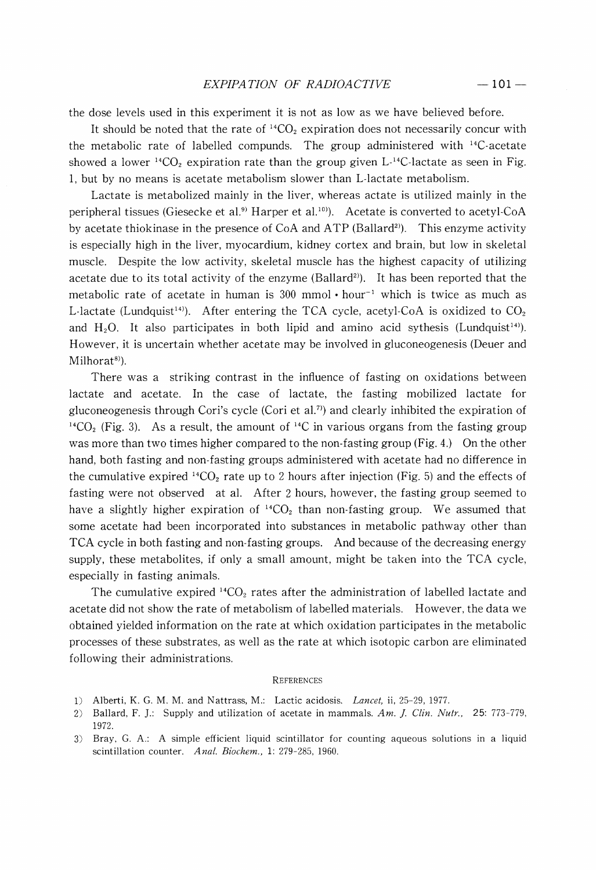the dose levels used in this experiment it is not as low as we have believed before.

It should be noted that the rate of  ${}^{14}CO_2$  expiration does not necessarily concur with the metabolic rate of labelled compunds. The group administered with  $^{14}$ C-acetate showed a lower  ${}^{14}CO_2$  expiration rate than the group given L-<sup>14</sup>C-lactate as seen in Fig. 1, but by no means is acetate metabolism slower than L-Iactate metabolism.

Lactate is metabolized mainly in the liver, whereas actate is utilized mainly in the peripheral tissues (Giesecke et al.<sup>9)</sup> Harper et al.<sup>10)</sup>. Acetate is converted to acetyl-CoA by acetate thiokinase in the presence of  $CoA$  and  $ATP$  (Ballard<sup>2)</sup>). This enzyme activity is especially high in the liver, myocardium, kidney cortex and brain, but low in skeletal muscle. Despite the low activity, skeletal muscle has the highest capacity of utilizing acetate due to its total activity of the enzyme (Ballard<sup>2)</sup>). It has been reported that the metabolic rate of acetate in human is 300 mmol  $\cdot$  hour<sup>-1</sup> which is twice as much as L-lactate (Lundquist<sup>14)</sup>). After entering the TCA cycle, acetyl-CoA is oxidized to  $CO<sub>2</sub>$ and  $H_2O$ . It also participates in both lipid and amino acid sythesis (Lundquist<sup>14)</sup>). However, it is uncertain whether acetate may be involved in gluconeogenesis (Deuer and Milhorat<sup>8</sup>).

There was a striking contrast in the influence of fasting on oxidations between lactate and acetate. In the case of lactate, the fasting mobilized lactate for gluconeogenesis through Cori's cycle (Cori et al.<sup>7)</sup> and clearly inhibited the expiration of <sup>14</sup>CO<sub>2</sub> (Fig. 3). As a result, the amount of <sup>14</sup>C in various organs from the fasting group was more than two times higher compared to the non-fasting group (Fig. 4.) On the other hand, both fasting and non-fasting groups administered with acetate had no difference in the cumulative expired  ${}^{14}CO_2$  rate up to 2 hours after injection (Fig. 5) and the effects of fasting were not observed at al. After 2 hours, however, the fasting group seemed to have a slightly higher expiration of  $^{14}CO<sub>2</sub>$  than non-fasting group. We assumed that some acetate had been incorporated into substances in metabolic pathway other than TCA cycle in both fasting and non-fasting groups. And because of the decreasing energy supply, these metabolites, if only a small amount, might be taken into the TCA cycle, especially in fasting animals.

The cumulative expired  $^{14}CO_2$  rates after the administration of labelled lactate and acetate did not show the rate of metabolism of labelled materials. However, the data we obtained yielded information on the rate at which oxidation participates in the metabolic processes of these substrates, as well as the rate at which isotopic carbon are eliminated following their administrations.

#### **REFERENCES**

- 1) Alberti, K. G. M. M. and Nattrass, M.: Lactic acidosis. *Lancet,* ii, 25-29, 1977.
- 2) Ballard, F.].: Supply and utilization of acetate in mammals. *Am.* ]. *Clin. Nutr.,* 25: 773-779, 1972.
- 3) Bray, G. A.: A simple efficient liquid scintillator for counting aqueous solutions in a liquid scintillation counter. *Anal. Biochem.,* 1: 279-285, 1960.